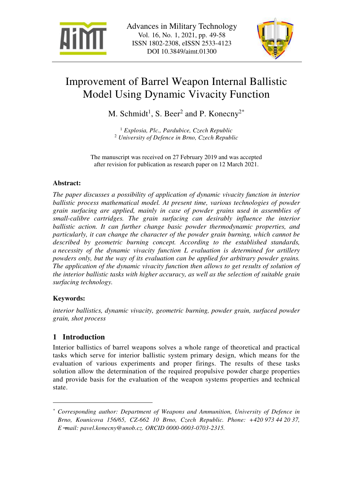



# Improvement of Barrel Weapon Internal Ballistic Model Using Dynamic Vivacity Function

M. Schmidt<sup>1</sup>, S. Beer<sup>2</sup> and P. Konecny<sup>2\*</sup>

1  *Explosia, Plc., Pardubice, Czech Republic*  2  *University of Defence in Brno, Czech Republic* 

The manuscript was received on 27 February 2019 and was accepted after revision for publication as research paper on 12 March 2021.

## **Abstract:**

*The paper discusses a possibility of application of dynamic vivacity function in interior ballistic process mathematical model. At present time, various technologies of powder grain surfacing are applied, mainly in case of powder grains used in assemblies of small-calibre cartridges. The grain surfacing can desirably influence the interior ballistic action. It can further change basic powder thermodynamic properties, and particularly, it can change the character of the powder grain burning, which cannot be described by geometric burning concept. According to the established standards, a necessity of the dynamic vivacity function L evaluation is determined for artillery powders only, but the way of its evaluation can be applied for arbitrary powder grains. The application of the dynamic vivacity function then allows to get results of solution of the interior ballistic tasks with higher accuracy, as well as the selection of suitable grain surfacing technology.* 

### **Keywords:**

 $\overline{a}$ 

*interior ballistics, dynamic vivacity, geometric burning, powder grain, surfaced powder grain, shot process* 

# **1 Introduction**

Interior ballistics of barrel weapons solves a whole range of theoretical and practical tasks which serve for interior ballistic system primary design, which means for the evaluation of various experiments and proper firings. The results of these tasks solution allow the determination of the required propulsive powder charge properties and provide basis for the evaluation of the weapon systems properties and technical state.

*<sup>\*</sup> Corresponding author: Department of Weapons and Ammunition, University of Defence in Brno, Kounicova 156/65, CZ-662 10 Brno, Czech Republic. Phone: +420 973 44 20 37, E*−*mail: pavel.konecny@unob.cz. ORCID 0000-0003-0703-2315.*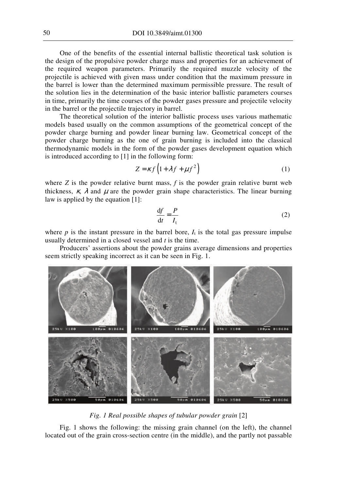One of the benefits of the essential internal ballistic theoretical task solution is the design of the propulsive powder charge mass and properties for an achievement of the required weapon parameters. Primarily the required muzzle velocity of the projectile is achieved with given mass under condition that the maximum pressure in the barrel is lower than the determined maximum permissible pressure. The result of the solution lies in the determination of the basic interior ballistic parameters courses in time, primarily the time courses of the powder gases pressure and projectile velocity in the barrel or the projectile trajectory in barrel.

The theoretical solution of the interior ballistic process uses various mathematic models based usually on the common assumptions of the geometrical concept of the powder charge burning and powder linear burning law. Geometrical concept of the powder charge burning as the one of grain burning is included into the classical thermodynamic models in the form of the powder gases development equation which is introduced according to [1] in the following form:

$$
Z = \kappa f \left( 1 + \lambda f + \mu f^2 \right) \tag{1}
$$

where  $Z$  is the powder relative burnt mass,  $f$  is the powder grain relative burnt web thickness,  $\kappa$ ,  $\lambda$  and  $\mu$  are the powder grain shape characteristics. The linear burning law is applied by the equation [1]:

$$
\frac{df}{dt} = \frac{P}{I_t} \tag{2}
$$

where  $p$  is the instant pressure in the barrel bore,  $I_t$  is the total gas pressure impulse usually determined in a closed vessel and *t* is the time.

Producers' assertions about the powder grains average dimensions and properties seem strictly speaking incorrect as it can be seen in Fig. 1.



*Fig. 1 Real possible shapes of tubular powder grain* [2]

Fig. 1 shows the following: the missing grain channel (on the left), the channel located out of the grain cross-section centre (in the middle), and the partly not passable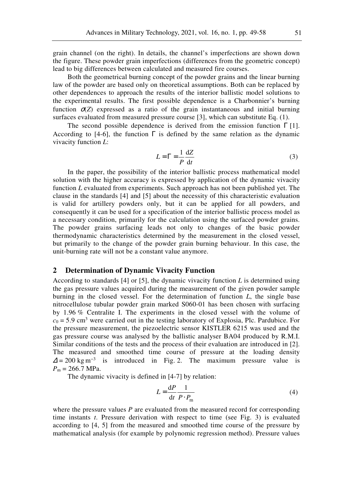grain channel (on the right). In details, the channel's imperfections are shown down the figure. These powder grain imperfections (differences from the geometric concept) lead to big differences between calculated and measured fire courses.

Both the geometrical burning concept of the powder grains and the linear burning law of the powder are based only on theoretical assumptions. Both can be replaced by other dependences to approach the results of the interior ballistic model solutions to the experimental results. The first possible dependence is a Charbonnier's burning function  $\sigma(Z)$  expressed as a ratio of the grain instantaneous and initial burning surfaces evaluated from measured pressure course [3], which can substitute Eq. (1).

The second possible dependence is derived from the emission function  $\Gamma$  [1]. According to [4-6], the function  $\Gamma$  is defined by the same relation as the dynamic vivacity function *L*:

$$
L = \Gamma = \frac{1}{P} \frac{dZ}{dt}
$$
 (3)

In the paper, the possibility of the interior ballistic process mathematical model solution with the higher accuracy is expressed by application of the dynamic vivacity function *L* evaluated from experiments. Such approach has not been published yet. The clause in the standards [4] and [5] about the necessity of this characteristic evaluation is valid for artillery powders only, but it can be applied for all powders, and consequently it can be used for a specification of the interior ballistic process model as a necessary condition, primarily for the calculation using the surfaced powder grains. The powder grains surfacing leads not only to changes of the basic powder thermodynamic characteristics determined by the measurement in the closed vessel, but primarily to the change of the powder grain burning behaviour. In this case, the unit-burning rate will not be a constant value anymore.

#### **2 Determination of Dynamic Vivacity Function**

According to standards [4] or [5], the dynamic vivacity function *L* is determined using the gas pressure values acquired during the measurement of the given powder sample burning in the closed vessel. For the determination of function *L*, the single base nitrocellulose tubular powder grain marked S060-01 has been chosen with surfacing by 1.96 % Centralite I. The experiments in the closed vessel with the volume of  $c_0 = 5.9$  cm<sup>3</sup> were carried out in the testing laboratory of Explosia, Plc. Pardubice. For the pressure measurement, the piezoelectric sensor KISTLER 6215 was used and the gas pressure course was analysed by the ballistic analyser BA04 produced by R.M.I. Similar conditions of the tests and the process of their evaluation are introduced in [2]. The measured and smoothed time course of pressure at the loading density  $\Delta$  = 200 kg m<sup>-3</sup> is introduced in Fig. 2. The maximum pressure value is  $P_m = 266.7 \text{ MPa}.$ 

The dynamic vivacity is defined in [4-7] by relation:

$$
L = \frac{dP}{dt} \frac{1}{P \cdot P_{\text{m}}} \tag{4}
$$

where the pressure values *P* are evaluated from the measured record for corresponding time instants *t*. Pressure derivation with respect to time (see Fig. 3) is evaluated according to [4, 5] from the measured and smoothed time course of the pressure by mathematical analysis (for example by polynomic regression method). Pressure values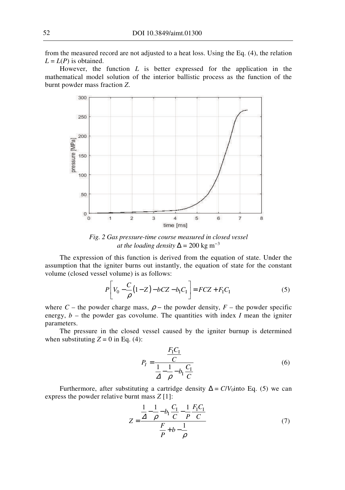from the measured record are not adjusted to a heat loss. Using the Eq. (4), the relation  $L = L(P)$  is obtained.

However, the function *L* is better expressed for the application in the mathematical model solution of the interior ballistic process as the function of the burnt powder mass fraction *Z*.



*Fig. 2 Gas pressure-time course measured in closed vessel at the loading density*  $\Delta = 200 \text{ kg m}^{-3}$ 

The expression of this function is derived from the equation of state. Under the assumption that the igniter burns out instantly, the equation of state for the constant volume (closed vessel volume) is as follows:

$$
P\left[V_0 - \frac{C}{\rho}(1 - Z) - bCZ - b_1C_1\right] = FCZ + F_1C_1
$$
\n(5)

where  $C$  – the powder charge mass,  $\rho$  – the powder density,  $F$  – the powder specific energy,  $b -$  the powder gas covolume. The quantities with index *I* mean the igniter parameters.

The pressure in the closed vessel caused by the igniter burnup is determined when substituting  $Z = 0$  in Eq. (4):

$$
P_{I} = \frac{\frac{F_{I}C_{I}}{C}}{\frac{1}{\Delta} - \frac{1}{\rho} - b_{I}\frac{C_{I}}{C}}
$$
(6)

Furthermore, after substituting a cartridge density  $\Delta = C/V_0$ into Eq. (5) we can express the powder relative burnt mass *Z* [1]:

$$
Z = \frac{\frac{1}{\Delta} - \frac{1}{\rho} - b_{I} \frac{C_{I}}{C} - \frac{1}{\rho} \frac{F_{I} C_{I}}{C}}{\frac{F}{\rho} + b - \frac{1}{\rho}}
$$
(7)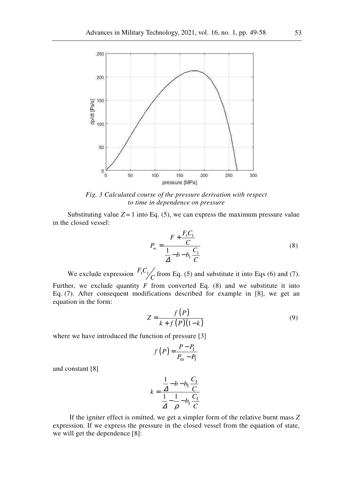

*Fig. 3 Calculated course of the pressure derivation with respect to time in dependence on pressure* 

Substituting value  $Z = 1$  into Eq. (5), we can express the maximum pressure value in the closed vessel:

$$
P_m = \frac{F + \frac{F_1 C_1}{C}}{\frac{1}{\Delta} - b - b_1 \frac{C_1}{C}}
$$
 (8)

We exclude expression  $F_1C_1$  from Eq. (5) and substitute it into Eqs (6) and (7). Further, we exclude quantity  $F$  from converted Eq. (8) and we substitute it into Eq. (7). After consequent modifications described for example in [8], we get an equation in the form:

$$
Z = \frac{f(P)}{k + f(P)(1-k)}\tag{9}
$$

where we have introduced the function of pressure [3]

$$
f(P) = \frac{P - P_{\rm I}}{P_{\rm m} - P_{\rm I}}
$$

and constant [8]

$$
k = \frac{\frac{1}{\Delta} - b - b_{\text{I}} \frac{C_{\text{I}}}{C}}{\frac{1}{\Delta} - \frac{1}{\rho} - b_{\text{I}} \frac{C_{\text{I}}}{C}}
$$

 If the igniter effect is omitted, we get a simpler form of the relative burnt mass *Z* expression. If we express the pressure in the closed vessel from the equation of state, we will get the dependence [8]: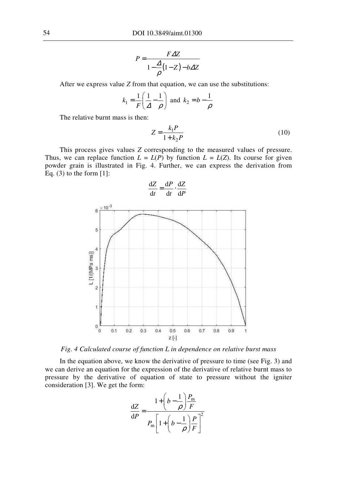$$
P = \frac{F \Delta Z}{1 - \frac{\Delta}{\rho} (1 - Z) - b \Delta Z}
$$

After we express value *Z* from that equation, we can use the substitutions:

$$
k_1 = \frac{1}{F} \left( \frac{1}{\Delta} - \frac{1}{\rho} \right)
$$
 and  $k_2 = b - \frac{1}{\rho}$ 

The relative burnt mass is then:

$$
Z = \frac{k_1 P}{1 + k_2 P} \tag{10}
$$

This process gives values *Z* corresponding to the measured values of pressure. Thus, we can replace function  $L = L(P)$  by function  $L = L(Z)$ . Its course for given powder grain is illustrated in Fig. 4. Further, we can express the derivation from Eq.  $(3)$  to the form  $[1]$ :



*Fig. 4 Calculated course of function L in dependence on relative burst mass* 

In the equation above, we know the derivative of pressure to time (see Fig. 3) and we can derive an equation for the expression of the derivative of relative burnt mass to pressure by the derivative of equation of state to pressure without the igniter consideration [3]. We get the form:

$$
\frac{\mathrm{d}Z}{\mathrm{d}P} = \frac{1 + \left(b - \frac{1}{\rho}\right)\frac{P_{\text{m}}}{F}}{P_{\text{m}}\left[1 + \left(b - \frac{1}{\rho}\right)\frac{P}{F}\right]^2}
$$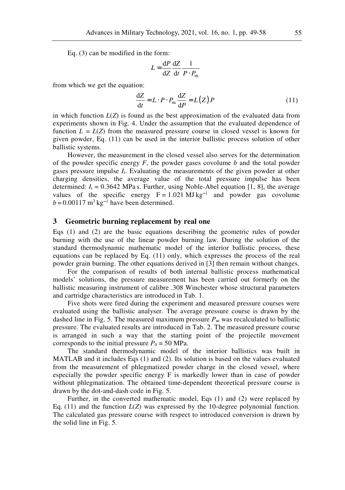Eq. (3) can be modified in the form:

$$
L = \frac{\mathrm{d}P}{\mathrm{d}Z} \frac{\mathrm{d}Z}{\mathrm{d}t} \frac{1}{P \cdot P_{\mathrm{m}}}
$$

from which we get the equation:

$$
\frac{\mathrm{d}Z}{\mathrm{d}t} = L \cdot P \cdot P_{\mathrm{m}} \frac{\mathrm{d}Z}{\mathrm{d}P} = L(Z) P \tag{11}
$$

in which function  $L(Z)$  is found as the best approximation of the evaluated data from experiments shown in Fig. 4. Under the assumption that the evaluated dependence of function  $L = L(Z)$  from the measured pressure course in closed vessel is known for given powder, Eq. (11) can be used in the interior ballistic process solution of other ballistic systems.

However, the measurement in the closed vessel also serves for the determination of the powder specific energy *F*, the powder gases covolume *b* and the total powder gases pressure impulse *I*t. Evaluating the measurements of the given powder at other charging densities, the average value of the total pressure impulse has been determined:  $I_t = 0.3642$  MPa s. Further, using Noble-Abel equation [1, 8], the average values of the specific energy F = 1.021 MJ kg**<sup>−</sup>**<sup>1</sup> and powder gas covolume *b* = 0.00117 m<sup>3</sup> kg<sup>−1</sup> have been determined.

#### **3 Geometric burning replacement by real one**

Eqs (1) and (2) are the basic equations describing the geometric rules of powder burning with the use of the linear powder burning law. During the solution of the standard thermodynamic mathematic model of the interior ballistic process, these equations can be replaced by Eq. (11) only, which expresses the process of the real powder grain burning. The other equations derived in [3] then remain without changes.

For the comparison of results of both internal ballistic process mathematical models' solutions, the pressure measurement has been carried out formerly on the ballistic measuring instrument of calibre .308 Winchester whose structural parameters and cartridge characteristics are introduced in Tab. 1.

Five shots were fired during the experiment and measured pressure courses were evaluated using the ballistic analyser. The average pressure course is drawn by the dashed line in Fig. 5. The measured maximum pressure  $P_m$  was recalculated to ballistic pressure. The evaluated results are introduced in Tab. 2. The measured pressure course is arranged in such a way that the starting point of the projectile movement corresponds to the initial pressure  $P_0 = 50$  MPa.

The standard thermodynamic model of the interior ballistics was built in MATLAB and it includes Eqs (1) and (2). Its solution is based on the values evaluated from the measurement of phlegmatized powder charge in the closed vessel, where especially the powder specific energy F is markedly lower than in case of powder without phlegmatization. The obtained time-dependent theoretical pressure course is drawn by the dot-and-dash code in Fig. 5.

Further, in the converted mathematic model, Eqs (1) and (2) were replaced by Eq. (11) and the function *L*(*Z*) was expressed by the 10-degree polynomial function. The calculated gas pressure course with respect to introduced conversion is drawn by the solid line in Fig. 5.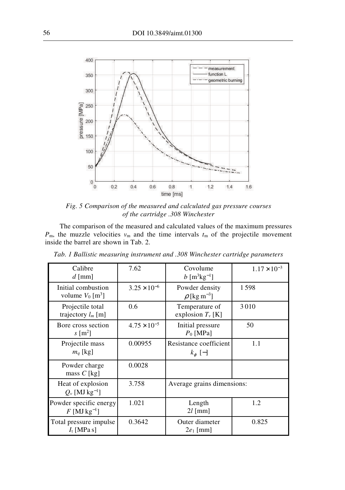

*Fig. 5 Comparison of the measured and calculated gas pressure courses of the cartridge .308 Winchester* 

The comparison of the measured and calculated values of the maximum pressures  $P_m$ , the muzzle velocities  $v_m$  and the time intervals  $t_m$  of the projectile movement inside the barrel are shown in Tab. 2.

| Calibre<br>$d$ [mm]                                  | 7.62                  | Covolume<br>$b [m^3kg^{-1}]$                   | $1.17 \times 10^{-3}$ |
|------------------------------------------------------|-----------------------|------------------------------------------------|-----------------------|
| Initial combustion<br>volume $V_0$ [m <sup>3</sup> ] | $3.25 \times 10^{-6}$ | Powder density<br>$\rho$ [kg m <sup>-3</sup> ] | 1598                  |
| Projectile total<br>trajectory $l_m$ [m]             | 0.6                   | Temperature of<br>explosion $T_{\nu}$ [K]      | 3010                  |
| Bore cross section<br>$s \,[\mathrm{m}^2]$           | $4.75 \times 10^{-5}$ | Initial pressure<br>$P_0$ [MPa]                | 50                    |
| Projectile mass<br>$m_q$ [kg]                        | 0.00955               | Resistance coefficient<br>$k_{\varphi}$ [-]    | 1.1                   |
| Powder charge<br>mass $C$ [kg]                       | 0.0028                |                                                |                       |
| Heat of explosion<br>$Q_{v}$ [MJ kg <sup>-1</sup> ]  | 3.758                 | Average grains dimensions:                     |                       |
| Powder specific energy<br>$F$ [MJ kg <sup>-1</sup> ] | 1.021                 | Length<br>$2l$ [mm]                            | 1.2                   |
| Total pressure impulse<br>$I_t$ [MPa s]              | 0.3642                | Outer diameter<br>$2e_1$ [mm]                  | 0.825                 |

*Tab. 1 Ballistic measuring instrument and .308 Winchester cartridge parameters*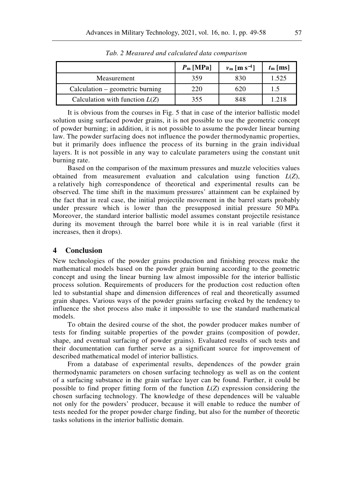|                                  | $Pm$ [MPa] | $v_{\rm m}$ [m s <sup>-1</sup> ] | $t_{\rm m}$ [ms] |
|----------------------------------|------------|----------------------------------|------------------|
| Measurement                      | 359        | 830                              | 1.525            |
| Calculation – geometric burning  | 220        | 620                              | 1.5              |
| Calculation with function $L(Z)$ | 355        | 848                              | 1.218            |

*Tab. 2 Measured and calculated data comparison* 

It is obvious from the courses in Fig. 5 that in case of the interior ballistic model solution using surfaced powder grains, it is not possible to use the geometric concept of powder burning; in addition, it is not possible to assume the powder linear burning law. The powder surfacing does not influence the powder thermodynamic properties, but it primarily does influence the process of its burning in the grain individual layers. It is not possible in any way to calculate parameters using the constant unit burning rate.

Based on the comparison of the maximum pressures and muzzle velocities values obtained from measurement evaluation and calculation using function *L*(*Z*), a relatively high correspondence of theoretical and experimental results can be observed. The time shift in the maximum pressures' attainment can be explained by the fact that in real case, the initial projectile movement in the barrel starts probably under pressure which is lower than the presupposed initial pressure 50 MPa. Moreover, the standard interior ballistic model assumes constant projectile resistance during its movement through the barrel bore while it is in real variable (first it increases, then it drops).

#### **4 Conclusion**

New technologies of the powder grains production and finishing process make the mathematical models based on the powder grain burning according to the geometric concept and using the linear burning law almost impossible for the interior ballistic process solution. Requirements of producers for the production cost reduction often led to substantial shape and dimension differences of real and theoretically assumed grain shapes. Various ways of the powder grains surfacing evoked by the tendency to influence the shot process also make it impossible to use the standard mathematical models.

To obtain the desired course of the shot, the powder producer makes number of tests for finding suitable properties of the powder grains (composition of powder, shape, and eventual surfacing of powder grains). Evaluated results of such tests and their documentation can further serve as a significant source for improvement of described mathematical model of interior ballistics.

From a database of experimental results, dependences of the powder grain thermodynamic parameters on chosen surfacing technology as well as on the content of a surfacing substance in the grain surface layer can be found. Further, it could be possible to find proper fitting form of the function *L*(*Z*) expression considering the chosen surfacing technology. The knowledge of these dependences will be valuable not only for the powders' producer, because it will enable to reduce the number of tests needed for the proper powder charge finding, but also for the number of theoretic tasks solutions in the interior ballistic domain.